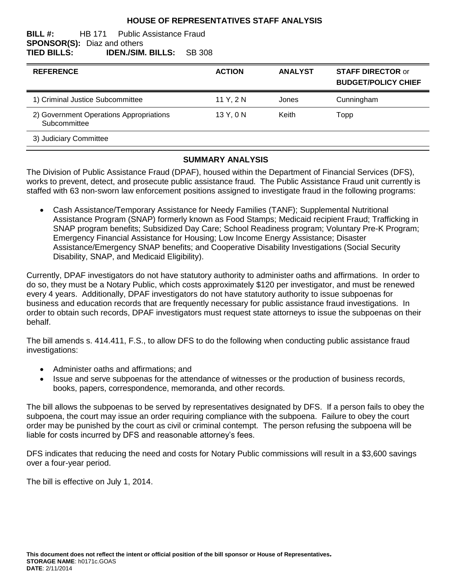#### **HOUSE OF REPRESENTATIVES STAFF ANALYSIS**

#### **BILL #:** HB 171 Public Assistance Fraud **SPONSOR(S):** Diaz and others **TIED BILLS: IDEN./SIM. BILLS:** SB 308

| <b>REFERENCE</b>                                        | <b>ACTION</b> | <b>ANALYST</b> | <b>STAFF DIRECTOR or</b><br><b>BUDGET/POLICY CHIEF</b> |
|---------------------------------------------------------|---------------|----------------|--------------------------------------------------------|
| 1) Criminal Justice Subcommittee                        | 11 Y, 2 N     | Jones          | Cunningham                                             |
| 2) Government Operations Appropriations<br>Subcommittee | 13 Y, 0 N     | Keith          | Topp                                                   |
| 3) Judiciary Committee                                  |               |                |                                                        |

### **SUMMARY ANALYSIS**

The Division of Public Assistance Fraud (DPAF), housed within the Department of Financial Services (DFS), works to prevent, detect, and prosecute public assistance fraud. The Public Assistance Fraud unit currently is staffed with 63 non-sworn law enforcement positions assigned to investigate fraud in the following programs:

 Cash Assistance/Temporary Assistance for Needy Families (TANF); Supplemental Nutritional Assistance Program (SNAP) formerly known as Food Stamps; Medicaid recipient Fraud; Trafficking in SNAP program benefits; Subsidized Day Care; School Readiness program; Voluntary Pre-K Program; Emergency Financial Assistance for Housing; Low Income Energy Assistance; Disaster Assistance/Emergency SNAP benefits; and Cooperative Disability Investigations (Social Security Disability, SNAP, and Medicaid Eligibility).

Currently, DPAF investigators do not have statutory authority to administer oaths and affirmations. In order to do so, they must be a Notary Public, which costs approximately \$120 per investigator, and must be renewed every 4 years. Additionally, DPAF investigators do not have statutory authority to issue subpoenas for business and education records that are frequently necessary for public assistance fraud investigations. In order to obtain such records, DPAF investigators must request state attorneys to issue the subpoenas on their behalf.

The bill amends s. 414.411, F.S., to allow DFS to do the following when conducting public assistance fraud investigations:

- Administer oaths and affirmations; and
- Issue and serve subpoenas for the attendance of witnesses or the production of business records, books, papers, correspondence, memoranda, and other records.

The bill allows the subpoenas to be served by representatives designated by DFS. If a person fails to obey the subpoena, the court may issue an order requiring compliance with the subpoena. Failure to obey the court order may be punished by the court as civil or criminal contempt. The person refusing the subpoena will be liable for costs incurred by DFS and reasonable attorney's fees.

DFS indicates that reducing the need and costs for Notary Public commissions will result in a \$3,600 savings over a four-year period.

The bill is effective on July 1, 2014.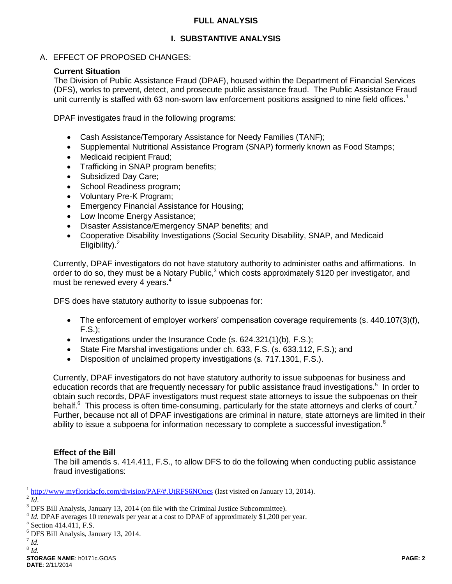### **FULL ANALYSIS**

## **I. SUBSTANTIVE ANALYSIS**

A. EFFECT OF PROPOSED CHANGES:

### **Current Situation**

The Division of Public Assistance Fraud (DPAF), housed within the Department of Financial Services (DFS), works to prevent, detect, and prosecute public assistance fraud. The Public Assistance Fraud unit currently is staffed with 63 non-sworn law enforcement positions assigned to nine field offices.<sup>1</sup>

DPAF investigates fraud in the following programs:

- Cash Assistance/Temporary Assistance for Needy Families (TANF);
- Supplemental Nutritional Assistance Program (SNAP) formerly known as Food Stamps;
- Medicaid recipient Fraud;
- Trafficking in SNAP program benefits;
- Subsidized Day Care;
- School Readiness program;
- Voluntary Pre-K Program:
- **Emergency Financial Assistance for Housing;**
- Low Income Energy Assistance;
- Disaster Assistance/Emergency SNAP benefits; and
- Cooperative Disability Investigations (Social Security Disability, SNAP, and Medicaid Eligibility). $<sup>2</sup>$ </sup>

Currently, DPAF investigators do not have statutory authority to administer oaths and affirmations. In order to do so, they must be a Notary Public,<sup>3</sup> which costs approximately \$120 per investigator, and must be renewed every 4 years.<sup>4</sup>

DFS does have statutory authority to issue subpoenas for:

- The enforcement of employer workers' compensation coverage requirements (s. 440.107(3)(f), F.S.);
- Investigations under the Insurance Code (s.  $624.321(1)(b)$ , F.S.);
- State Fire Marshal investigations under ch. 633, F.S. (s. 633.112, F.S.); and
- Disposition of unclaimed property investigations (s. 717.1301, F.S.).

Currently, DPAF investigators do not have statutory authority to issue subpoenas for business and education records that are frequently necessary for public assistance fraud investigations.<sup>5</sup> In order to obtain such records, DPAF investigators must request state attorneys to issue the subpoenas on their behalf.<sup>6</sup> This process is often time-consuming, particularly for the state attorneys and clerks of court.<sup>7</sup> Further, because not all of DPAF investigations are criminal in nature, state attorneys are limited in their ability to issue a subpoena for information necessary to complete a successful investigation.<sup>8</sup>

### **Effect of the Bill**

The bill amends s. 414.411, F.S., to allow DFS to do the following when conducting public assistance fraud investigations:

 $\overline{a}$ 

<sup>&</sup>lt;sup>1</sup> <http://www.myfloridacfo.com/division/PAF/#.UtRFS6NOncs> (last visited on January 13, 2014).

 $^{2}$ *Id*.

<sup>&</sup>lt;sup>3</sup> DFS Bill Analysis, January 13, 2014 (on file with the Criminal Justice Subcommittee).

<sup>&</sup>lt;sup>4</sup> *Id.* DPAF averages 10 renewals per year at a cost to DPAF of approximately \$1,200 per year.

<sup>&</sup>lt;sup>5</sup> Section 414.411, F.S.

<sup>6</sup> DFS Bill Analysis, January 13, 2014.

<sup>7</sup> *Id.* 8 *Id.*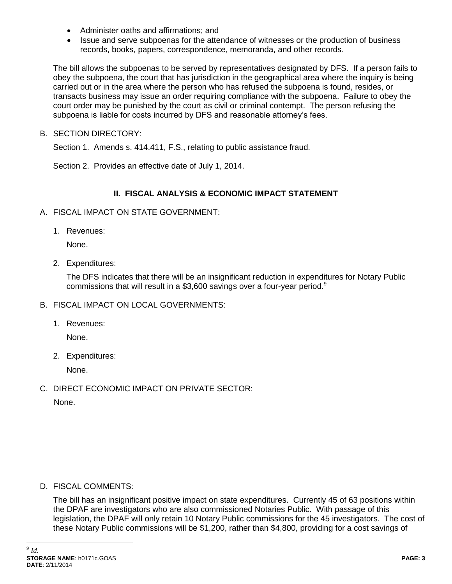- Administer oaths and affirmations: and
- Issue and serve subpoenas for the attendance of witnesses or the production of business records, books, papers, correspondence, memoranda, and other records.

The bill allows the subpoenas to be served by representatives designated by DFS. If a person fails to obey the subpoena, the court that has jurisdiction in the geographical area where the inquiry is being carried out or in the area where the person who has refused the subpoena is found, resides, or transacts business may issue an order requiring compliance with the subpoena. Failure to obey the court order may be punished by the court as civil or criminal contempt. The person refusing the subpoena is liable for costs incurred by DFS and reasonable attorney's fees.

B. SECTION DIRECTORY:

Section 1. Amends s. 414.411, F.S., relating to public assistance fraud.

Section 2. Provides an effective date of July 1, 2014.

### **II. FISCAL ANALYSIS & ECONOMIC IMPACT STATEMENT**

- A. FISCAL IMPACT ON STATE GOVERNMENT:
	- 1. Revenues:

None.

2. Expenditures:

The DFS indicates that there will be an insignificant reduction in expenditures for Notary Public commissions that will result in a \$3,600 savings over a four-year period. $9$ 

- B. FISCAL IMPACT ON LOCAL GOVERNMENTS:
	- 1. Revenues:

None.

2. Expenditures:

None.

C. DIRECT ECONOMIC IMPACT ON PRIVATE SECTOR:

None.

D. FISCAL COMMENTS:

The bill has an insignificant positive impact on state expenditures. Currently 45 of 63 positions within the DPAF are investigators who are also commissioned Notaries Public. With passage of this legislation, the DPAF will only retain 10 Notary Public commissions for the 45 investigators. The cost of these Notary Public commissions will be \$1,200, rather than \$4,800, providing for a cost savings of